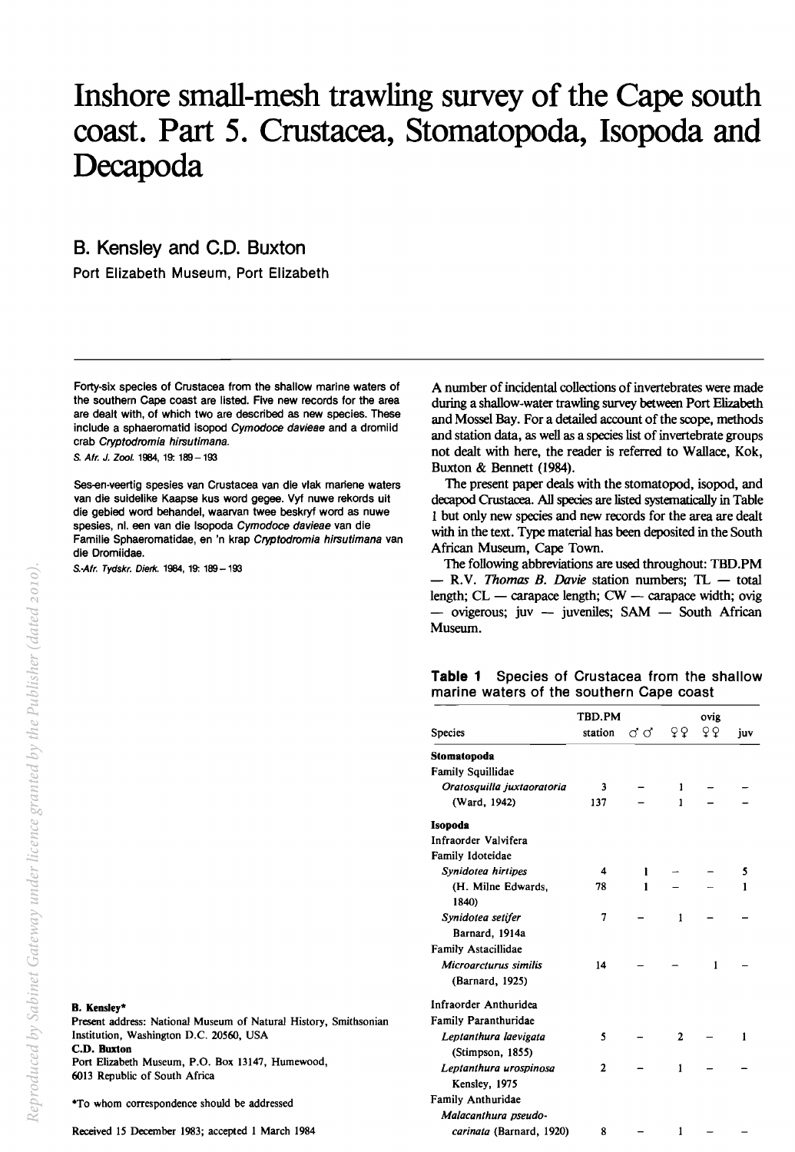# Inshore small-mesh trawling survey of the Cape south coast. Part 5. Crustacea, Stomatopoda, Isopoda and Decapoda

B. Kensley and C.D. Buxton

Port Elizabeth Museum, Port Elizabeth

Forty-six species of Crustacea from the shallow marine waters of the southern Cape coast are listed. Five new records for the area are dealt with, of which two are described as new species. These include a sphaeromatid isopod Cymodoce davieae and a dromiid crab Cryptodromia hirsutimana.

S. Afr. J. Zool. 1984, 19: 189 - 193

Ses-en-veertig spesies van Crustacea van die vlak mariene waters van die suidelike Kaapse kus word gegee. Vyf nuwe rekords uit die gebied word behandel, waarvan twee beskryf word as nuwe spesies, nl. een van die lsopoda Cymodoce davieae van die Familie Sphaeromatidae, en 'n krap Cryptodromia hirsutimana van die Dromiidae.

S.-Afr. Tydskr. Dierk. 1984, 19: 189 - 193

A number of incidental collections of invertebrates were made during a shallow-water trawling survey between Port Elizabeth and Mossel Bay. For a detailed account of the scope, methods and station data, as well as a species list of invertebrate groups not dealt with here, the reader is referred to Wallace, Kok, Buxton & Bennett (1984).

The present paper deals with the stomatopod, isopod, and decapod Crustacea. All species are listed systematically in Table 1 but only new species and new records for the area are dealt with in the text. Type material has been deposited in the South African Museum, Cape Town.

The following abbreviations are used throughout: TBD.PM - R.V. *Thomas B. Davie* station numbers; TL - total length;  $CL$  - carapace length;  $CW$  - carapace width; ovig  $-$  ovigerous; juv  $-$  juveniles; SAM  $-$  South African Museum.

#### Table 1 Species of Crustacea from the shallow marine waters of the southern Cape coast

|                             | TBD.PM       |       |    | ovig |     |  |
|-----------------------------|--------------|-------|----|------|-----|--|
| <b>Species</b>              | station      | ದಿ ರೆ | δō | çϙ   | juv |  |
| Stomatopoda                 |              |       |    |      |     |  |
| <b>Family Squillidae</b>    |              |       |    |      |     |  |
| Oratosquilla juxtaoratoria  | 3            |       | 1  |      |     |  |
| (Ward, 1942)                | 137          |       | 1  |      |     |  |
| Isopoda                     |              |       |    |      |     |  |
| Infraorder Valvifera        |              |       |    |      |     |  |
| Family Idoteidae            |              |       |    |      |     |  |
| Synidotea hirtipes          | 4            | 1     |    |      | 5   |  |
| (H. Milne Edwards,          | 78           | 1     |    |      | 1   |  |
| 1840)                       |              |       |    |      |     |  |
| Synidotea setifer           | 7            |       | 1  |      |     |  |
| Barnard, 1914a              |              |       |    |      |     |  |
| <b>Family Astacillidae</b>  |              |       |    |      |     |  |
| Microarcturus similis       | 14           |       |    | 1    |     |  |
| (Barnard, 1925)             |              |       |    |      |     |  |
| Infraorder Anthuridea       |              |       |    |      |     |  |
| <b>Family Paranthuridae</b> |              |       |    |      |     |  |
| Leptanthura laevigata       | 5            |       | 2  |      | 1   |  |
| (Stimpson, 1855)            |              |       |    |      |     |  |
| Leptanthura urospinosa      | $\mathbf{2}$ |       | 1  |      |     |  |
| Kensley, 1975               |              |       |    |      |     |  |
| Family Anthuridae           |              |       |    |      |     |  |
| Malacanthura pseudo-        |              |       |    |      |     |  |
| carinata (Barnard, 1920)    | 8            |       | 1  |      |     |  |

#### B. Kensley\*

Present address: National Museum of Natural History, Smithsonian Institution, Washington D.C. 20560, USA C.D. Buxton Port Elizabeth Museum, P.O. Box 13147, Humewood, 6013 Republic of South Africa

·To whom correspondence should be addressed

Received 15 December 1983; accepted I March 1984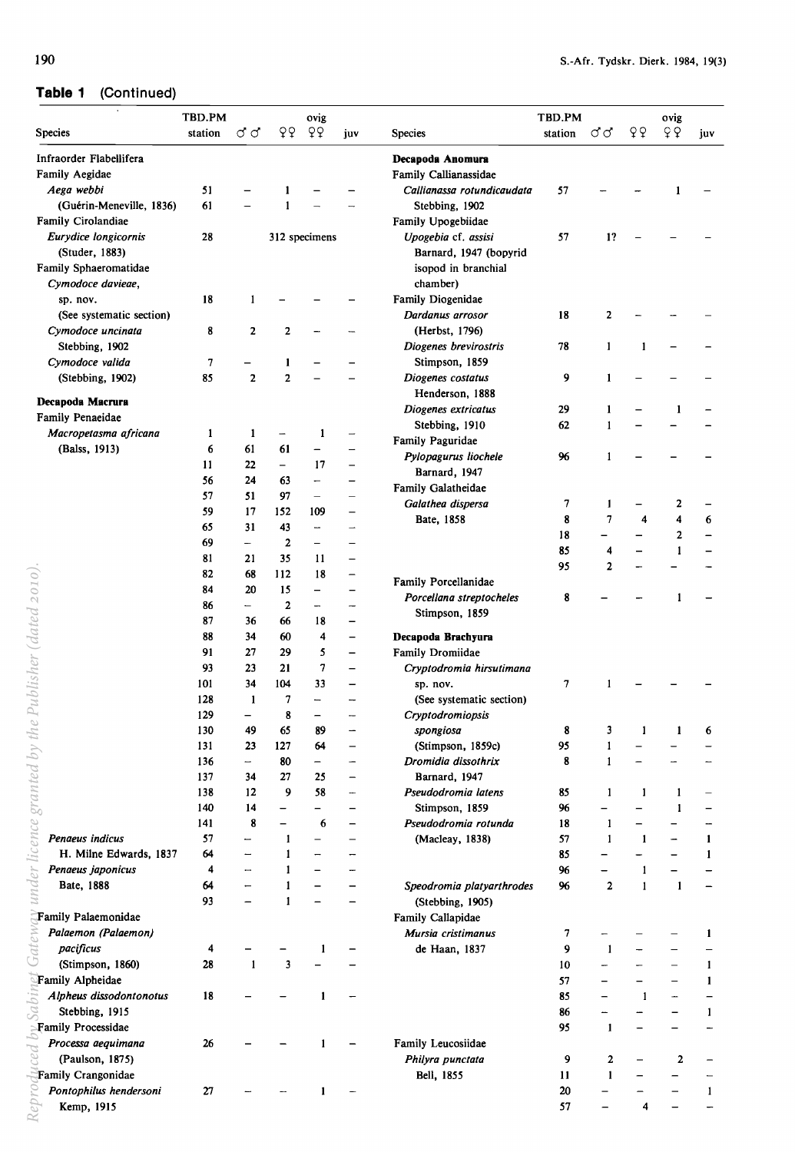# **Table 1** (Continued)

| <b>Species</b>                            | TBD.PM<br>station | đσ                       | QQ                | ovig<br>QQ               | juv                      | <b>Species</b>                            | TBD.PM<br>station | ರ ರ            | QQ           | ovig<br>Q    | juv          |
|-------------------------------------------|-------------------|--------------------------|-------------------|--------------------------|--------------------------|-------------------------------------------|-------------------|----------------|--------------|--------------|--------------|
|                                           |                   |                          |                   |                          |                          |                                           |                   |                |              |              |              |
| Infraorder Flabellifera<br>Family Aegidae |                   |                          |                   |                          |                          | Decapoda Anomura<br>Family Callianassidae |                   |                |              |              |              |
| Aega webbi                                | 51                |                          |                   |                          |                          | Callianassa rotundicaudata                | 57                |                |              |              |              |
| (Guérin-Meneville, 1836)                  | 61                |                          | 1                 |                          |                          | Stebbing, 1902                            |                   |                |              |              |              |
| Family Cirolandiae                        |                   |                          |                   |                          |                          | Family Upogebiidae                        |                   |                |              |              |              |
| Eurydice longicornis                      | 28                |                          |                   | 312 specimens            |                          | Upogebia cf. assisi                       | 57                | 1?             |              |              |              |
| (Studer, 1883)                            |                   |                          |                   |                          |                          | Barnard, 1947 (bopyrid                    |                   |                |              |              |              |
| Family Sphaeromatidae                     |                   |                          |                   |                          |                          | isopod in branchial                       |                   |                |              |              |              |
| Cymodoce davieae,                         |                   |                          |                   |                          |                          | chamber)                                  |                   |                |              |              |              |
| sp. nov.                                  | 18                | 1                        |                   |                          |                          | Family Diogenidae                         |                   |                |              |              |              |
| (See systematic section)                  |                   |                          |                   |                          |                          | Dardanus arrosor                          | 18                | 2              |              |              |              |
| Cymodoce uncinata                         | 8                 | 2                        | $\mathbf{2}$      |                          |                          | (Herbst, 1796)                            |                   |                |              |              |              |
| Stebbing, 1902                            |                   |                          |                   |                          |                          | Diogenes brevirostris                     | 78                | $\mathbf{1}$   | 1            |              |              |
| Cymodoce valida                           | 7                 |                          | 1                 |                          |                          | Stimpson, 1859                            |                   |                |              |              |              |
| (Stebbing, 1902)                          | 85                | $\mathbf{2}$             | 2                 |                          |                          | Diogenes costatus                         | 9                 | $\mathbf{1}$   |              |              |              |
|                                           |                   |                          |                   |                          |                          | Henderson, 1888                           |                   |                |              |              |              |
| Decapoda Macrura                          |                   |                          |                   |                          |                          | Diogenes extricatus                       | 29                | 1              |              | 1            |              |
| Family Penaeidae                          |                   |                          |                   |                          |                          | Stebbing, 1910                            | 62                | 1              |              |              |              |
| Macropetasma africana                     | 1                 | 1                        |                   | 1                        |                          | Family Paguridae                          |                   |                |              |              |              |
| (Balss, 1913)                             | 6                 | 61                       | 61                |                          |                          | Pylopagurus liochele                      | 96                | 1              |              |              |              |
|                                           | 11                | 22                       | $\equiv$          | 17                       | $\overline{\phantom{0}}$ | Barnard, 1947                             |                   |                |              |              |              |
|                                           | 56                | 24                       | 63                | -                        |                          | Family Galatheidae                        |                   |                |              |              |              |
|                                           | 57                | 51                       | 97                | $\overline{\phantom{0}}$ |                          | Galathea dispersa                         | 7                 | $\mathbf{1}$   |              | 2            |              |
|                                           | 59                | 17                       | 152               | 109                      | -                        | Bate, 1858                                | 8                 | 7              | 4            | 4            | 6            |
|                                           | 65                | 31                       | 43                | --                       | $\overline{\phantom{0}}$ |                                           | 18                |                |              | 2            |              |
|                                           | 69                | $\qquad \qquad -$        | $\mathbf{2}$      | —                        |                          |                                           | 85                | 4              |              | 1            |              |
|                                           | 81                | 21                       | 35                | 11                       | —                        |                                           | 95                | $\overline{2}$ |              |              |              |
|                                           | 82                | 68                       | 112               | 18                       |                          | Family Porcellanidae                      |                   |                |              |              |              |
|                                           | 84                | 20                       | 15                | -                        |                          | Porcellana streptocheles                  | 8                 |                |              |              |              |
|                                           | 86                | -                        | $\mathbf{2}$      | -                        | -                        | Stimpson, 1859                            |                   |                |              |              |              |
| Publisher (dated 2010)                    | 87                | 36                       | 66                | 18                       | $\overline{\phantom{0}}$ |                                           |                   |                |              |              |              |
|                                           | 88                | 34                       | 60                | 4                        | $\qquad \qquad -$        | Decapoda Brachyura                        |                   |                |              |              |              |
|                                           | 91                | 27                       | 29                | 5                        | $\overline{\phantom{0}}$ | Family Dromiidae                          |                   |                |              |              |              |
|                                           | 93                | 23                       | 21                | 7                        | $\equiv$                 | Cryptodromia hirsutimana                  |                   |                |              |              |              |
|                                           | 101               | 34                       | 104               | 33                       |                          | sp. nov.                                  | 7                 | 1              |              |              |              |
|                                           | 128               | $\mathbf{1}$             | 7                 |                          |                          | (See systematic section)                  |                   |                |              |              |              |
|                                           | 129               |                          | 8                 |                          |                          | Cryptodromiopsis                          |                   |                |              |              |              |
|                                           | 130               | 49                       | 65                | 89                       |                          | spongiosa                                 | 8                 | 3              | 1            | 1            | 6            |
| licence granted by the                    | 131               | 23                       | 127               | 64                       |                          | (Stimpson, 1859c)                         | 95                | 1              |              |              |              |
|                                           | 136               | $\overline{\phantom{0}}$ | 80                | -                        | -                        | Dromidia dissothrix                       | 8                 | 1              |              |              |              |
|                                           | 137               | 34                       | 27                | 25                       | $\overline{\phantom{0}}$ | Barnard, 1947                             |                   |                |              |              |              |
|                                           | 138               | 12                       | 9                 | 58                       | -                        | Pseudodromia latens                       | 85                | $\mathbf{1}$   | $\mathbf{1}$ | $\mathbf{1}$ |              |
|                                           | 140               | 14                       | —                 |                          | -                        | Stimpson, 1859                            | 96                |                |              | 1            |              |
|                                           | 141               | 8                        | $\qquad \qquad -$ | 6                        | —                        | Pseudodromia rotunda                      | 18                | 1              |              |              |              |
| Penaeus indicus                           | 57                | $\overline{\phantom{a}}$ | 1                 |                          | $\overline{\phantom{0}}$ | (Macleay, 1838)                           | 57                | $\mathbf{1}$   | $\mathbf{1}$ |              | $\mathbf{1}$ |
| H. Milne Edwards, 1837                    | 64                | -                        | 1                 |                          |                          |                                           | 85                |                |              |              | $\mathbf{1}$ |
| Penaeus japonicus                         | 4                 | -                        | 1                 |                          |                          |                                           | 96                |                | 1            |              |              |
| under<br>Bate, 1888                       | 64                |                          | 1                 |                          |                          | Speodromia platyarthrodes                 | 96                | $\mathbf{2}$   | $\mathbf{1}$ | 1            |              |
|                                           | 93                |                          | $\mathbf{1}$      |                          |                          | (Stebbing, 1905)                          |                   |                |              |              |              |
| Family Palaemonidae                       |                   |                          |                   |                          |                          | Family Callapidae                         |                   |                |              |              |              |
| Palaemon (Palaemon)                       |                   |                          |                   |                          |                          | Mursia cristimanus                        | 7                 |                |              |              | 1            |
| pacificus                                 | 4                 |                          |                   | 1                        |                          | de Haan, 1837                             | 9                 | $\mathbf{1}$   |              |              |              |
| (Stimpson, 1860)                          | 28                | $\mathbf{1}$             | 3                 |                          |                          |                                           | 10                |                |              |              | $\mathbf{1}$ |
| Family Alpheidae                          |                   |                          |                   |                          |                          |                                           | 57                |                |              |              | $\mathbf{1}$ |
| Alpheus dissodontonotus                   | 18                |                          |                   | 1                        |                          |                                           | 85                |                | 1            |              |              |
| Stebbing, 1915                            |                   |                          |                   |                          |                          |                                           | 86                |                |              |              | $\mathbf{1}$ |
| Family Processidae                        |                   |                          |                   |                          |                          |                                           | 95                | $\mathbf{1}$   |              |              |              |
| Processa aequimana                        | 26                |                          |                   | 1                        |                          | Family Leucosiidae                        |                   |                |              |              |              |
| pə:<br>(Paulson, 1875)                    |                   |                          |                   |                          |                          | Philyra punctata                          | 9                 | 2              |              | $\mathbf{2}$ |              |
| Family Crangonidae                        |                   |                          |                   |                          |                          | Bell, 1855                                | 11                | $\mathbf{1}$   |              |              |              |
| Pontophilus hendersoni                    | 27                |                          |                   |                          |                          |                                           | 20                |                |              |              | $\mathbf{1}$ |
|                                           |                   |                          |                   |                          |                          |                                           | 57                |                | 4            |              |              |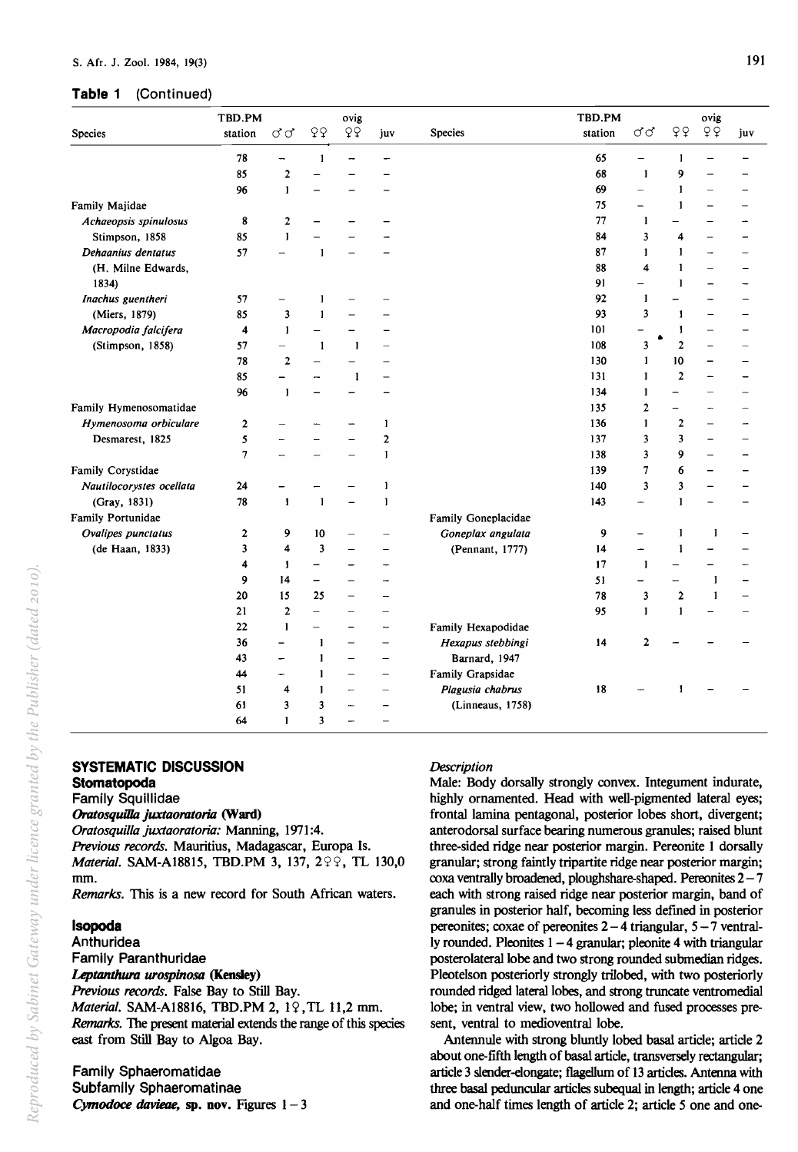#### **Table 1** (Continued)

|                          | TBD.PM<br>ovig |                          |                          |                          |                          |                     | TBD.PM  |                          | ovig                    |              |     |
|--------------------------|----------------|--------------------------|--------------------------|--------------------------|--------------------------|---------------------|---------|--------------------------|-------------------------|--------------|-----|
| <b>Species</b>           | station        | $\sigma\sigma$           | QQ                       | $Q\overline{Q}$          | juv                      | <b>Species</b>      | station | ರರ                       | QQ                      | QQ           | juv |
|                          | 78             | ÷.                       | $\mathbf{1}$             |                          |                          |                     | 65      | $\overline{\phantom{0}}$ | 1                       |              |     |
|                          | 85             | $\overline{2}$           |                          |                          |                          |                     | 68      | $\mathbf{I}$             | 9                       |              |     |
|                          | 96             | $\mathbf{I}$             |                          |                          |                          |                     | 69      | $\qquad \qquad -$        | 1                       |              |     |
| Family Majidae           |                |                          |                          |                          |                          |                     | 75      |                          | $\mathbf{1}$            |              |     |
| Achaeopsis spinulosus    | 8              | $\overline{\mathbf{c}}$  |                          |                          |                          |                     | 77      | 1                        |                         |              |     |
| Stimpson, 1858           | 85             | $\mathbf{1}$             |                          |                          |                          |                     | 84      | 3                        | 4                       |              |     |
| Dehaanius dentatus       | 57             |                          | $\blacksquare$           |                          |                          |                     | 87      | $\mathbf{I}$             | $\mathbf{1}$            |              |     |
| (H. Milne Edwards,       |                |                          |                          |                          |                          |                     | 88      | 4                        | 1                       |              |     |
| 1834)                    |                |                          |                          |                          |                          |                     | 91      | $\overline{\phantom{0}}$ | $\mathbf{1}$            |              |     |
| Inachus guentheri        | 57             |                          | -1                       |                          |                          |                     | 92      | 1                        |                         |              |     |
| (Miers, 1879)            | 85             | 3                        | $\mathbf{I}$             |                          |                          |                     | 93      | 3                        | 1                       |              |     |
| Macropodia falcifera     | 4              | $\mathbf{1}$             | $\qquad \qquad -$        |                          |                          |                     | 101     |                          | 1                       |              |     |
| (Stimpson, 1858)         | 57             | $\overline{\phantom{0}}$ | $\mathbf{1}$             | $\mathbf{I}$             |                          |                     | 108     | 3                        | $\overline{2}$          |              |     |
|                          | 78             | $\overline{2}$           |                          |                          |                          |                     | 130     | 1                        | 10                      |              |     |
|                          | 85             |                          |                          | $\mathbf{1}$             |                          |                     | 131     | 1                        | $\overline{2}$          |              |     |
|                          | 96             | $\mathbf{I}$             |                          |                          |                          |                     | 134     | 1                        |                         |              |     |
| Family Hymenosomatidae   |                |                          |                          |                          |                          |                     | 135     | $\overline{2}$           | -                       |              |     |
| Hymenosoma orbiculare    | 2              |                          |                          |                          | $\mathbf{I}$             |                     | 136     | 1                        | $\overline{2}$          |              |     |
| Desmarest, 1825          | 5              |                          |                          |                          | $\mathbf{2}$             |                     | 137     | 3                        | 3                       |              |     |
|                          | 7              |                          |                          |                          | $\mathbf{I}$             |                     | 138     | 3                        | 9                       |              |     |
| Family Corystidae        |                |                          |                          |                          |                          |                     | 139     | 7                        | 6                       |              |     |
| Nautilocorystes ocellata | 24             |                          |                          |                          | $\mathbf{I}$             |                     | 140     | 3                        | 3                       |              |     |
| (Gray, 1831)             | 78             | $\mathbf{1}$             | $\mathbf{I}$             |                          | $\mathbf{I}$             |                     | 143     | ÷                        | $\mathbf{1}$            |              |     |
| Family Portunidae        |                |                          |                          |                          |                          | Family Goneplacidae |         |                          |                         |              |     |
| Ovalipes punctatus       | 2              | 9                        | 10                       |                          |                          | Goneplax angulata   | 9       |                          | $\mathbf{1}$            | $\mathbf{1}$ |     |
| (de Haan, 1833)          | 3              | 4                        | $\overline{\mathbf{3}}$  |                          | L,                       | (Pennant, 1777)     | 14      | —                        | $\mathbf{1}$            |              |     |
|                          | 4              | $\mathbf{1}$             | -                        |                          | -                        |                     | 17      | 1                        |                         |              |     |
|                          | 9              | 14                       | -                        |                          | -                        |                     | 51      |                          | $\qquad \qquad -$       | $\mathbf{1}$ |     |
|                          | 20             | 15                       | 25                       | $\overline{\phantom{0}}$ |                          |                     | 78      | 3                        | $\overline{\mathbf{c}}$ | 1            |     |
|                          | 21             | $\overline{2}$           |                          |                          |                          |                     | 95      | $\mathbf{I}$             | $\mathbf{1}$            |              |     |
|                          | 22             | $\mathbf{I}$             | $\overline{\phantom{0}}$ |                          | -                        | Family Hexapodidae  |         |                          |                         |              |     |
|                          | 36             |                          | $\mathbf{I}$             | $\overline{\phantom{0}}$ | $\overline{\phantom{0}}$ | Hexapus stebbingi   | 14      | $\mathbf{2}$             |                         |              |     |
|                          | 43             | $\overline{\phantom{0}}$ | $\mathbf{I}$             | $\overline{\phantom{0}}$ | $\overline{\phantom{0}}$ | Barnard, 1947       |         |                          |                         |              |     |
|                          | 44             | $\overline{\phantom{0}}$ | $\mathbf{I}$             | $\overline{\phantom{0}}$ | $\overline{\phantom{m}}$ | Family Grapsidae    |         |                          |                         |              |     |
|                          | 51             | 4                        | $\mathbf{1}$             | -                        | $\overline{\phantom{0}}$ | Plagusia chabrus    | 18      |                          | 1                       |              |     |
|                          | 61             | 3                        | 3                        |                          | -                        | (Linneaus, 1758)    |         |                          |                         |              |     |
|                          | 64             | $\mathbf{I}$             | $\overline{\mathbf{3}}$  |                          | L.                       |                     |         |                          |                         |              |     |

## **SYSTEMATIC DISCUSSION**

## **Stomatopoda**

#### Family Squillidae Oratosquilla juxtaoratoria (Ward)

*Oratosquilla juxtaoratoria: Manning, 1971:4. Previous records.* Mauritius, Madagascar, Europa Is. *Material.* SAM-A18815, TBD.PM 3, 137, 299, TL 130,0 mm.

*Remarks.* This is a new record for South African waters.

## **Isopoda**

# Anthuridea

Family Paranthuridae *Leptanthura urospinosa* (Kensley)

*Previous records.* False Bay to Still Bay.

*Material.* SAM-A18816, TBD.PM 2, 12, TL 11,2 mm. *Remarks.* The present material extends the range of this species east from Still Bay to Algoa Bay.

Family Sphaeromatidae Subfamily Sphaeromatinae *Cymodoce davieae*, sp. nov. Figures  $1 - 3$ 

#### *Description*

Male: Body dorsally strongly convex. Integument indurate, highly ornamented. Head with well-pigmented lateral eyes; frontal lamina pentagonal, posterior lobes short, divergent; anterodorsal surface bearing numerous granules; raised blunt three-sided ridge near posterior margin. Pereonite 1 dorsally granular; strong faintly tripartite ridge near posterior margin; coxa ventrally broadened, ploughshare-shaped. Pereonites  $2 - 7$ each with strong raised ridge near posterior margin, band of granules in posterior half, becoming less dermed in posterior pereonites; coxae of pereonites  $2 - 4$  triangular,  $5 - 7$  ventrally rounded. Pleonites  $1 - 4$  granular; pleonite 4 with triangular posterolateral lobe and two strong rounded submedian ridges. Pleotelson posteriorly strongly trilobed, with two posteriorly rounded ridged lateral lobes, and strong truncate ventromedial lobe; in ventral view, two hollowed and fused processes present, ventral to medioventral lobe.

Antennule with strong bluntly lobed basal article; article 2 about one-fifth length of basal article, transversely rectangular; article 3 slender-elongate; flagellum of 13 articles. Antenna with three basal peduncular articles subequal in length; article 4 one and one-half times length of article 2; article 5 one and one-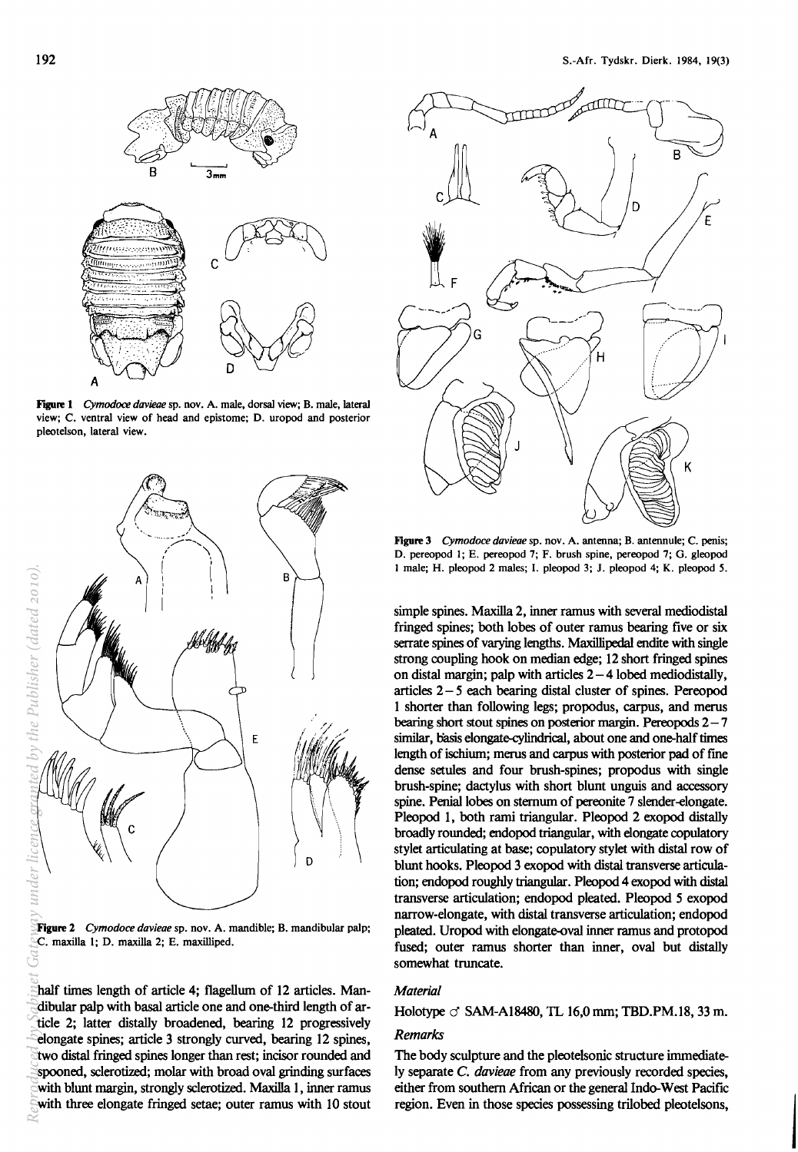

Figure 1 *Cymodoce davieae* sp. nov. A. male, dorsal view; B. male, lateral view; C. ventral view of head and epistome; D. uropod and posterior pleotelson, lateral view.



Figure 2 *Cymodoce davieae* sp. nov. A. mandible; B. mandibular palp; C. maxilla 1; D. maxilla 2; E. maxilliped.

half times length of article 4; flagellum of 12 articles. Mandibular palp with basal article one and one-third length of article 2; latter distally broadened, bearing 12 progressively elongate spines; article 3 strongly curved, bearing 12 spines, two distal fringed spines longer than rest; incisor rounded and spooned, sclerotized; molar with broad oval grinding surfaces with blunt margin, strongly sclerotized. Maxilla 1, inner ramus with three elongate fringed setae; outer ramus with 10 stout



Figure 3 *Cymodoce davieae* sp. nov. A. antenna; B. antennule; C. penis; D. pereopod 1; E. pereopod 7; F. brush spine, pereopod 7; O. gleopod 1 male; H. pleopod 2 males; I. pleopod 3; J. pleopod 4; K. pleopod S.

simple spines. Maxilla 2, inner ramus with several mediodistal fringed spines; both lobes of outer ramus bearing five or six serrate spines of varying lengths. Maxillipedal endite with single strong coupling hook on median edge; 12 short fringed spines on distal margin; palp with articles  $2 - 4$  lobed mediodistally, articles  $2 - 5$  each bearing distal cluster of spines. Pereopod 1 shorter than following legs; propodus, carpus, and merus bearing short stout spines on posterior margin. Pereopods  $2 - 7$ similar, basis elongate-cylindrical, about one and one-half times length of ischium; merus and carpus with posterior pad of fme dense setules and four brush-spines; propodus with single brush-spine; dactylus with short blunt unguis and accessory spine. Penial lobes on sternum of pereonite 7 slender-elongate. Pleopod 1, both rami triangular. Pleopod 2 exopod distally broadly rounded; endopod triangular, with elongate copulatory stylet articulating at base; copulatory stylet with distal row of blunt hooks. Pleopod 3 exopod with distal transverse articulation; endopod roughly triangular. Pleopod 4 exopod with distal transverse articulation; endopod pleated. Pleopod 5 exopod narrow-elongate, with distal transverse articulation; endopod pleated. Uropod with elongate-oval inner ramus and protopod fused; outer ramus shorter than inner, oval but distally somewhat truncate.

#### *Material*

Holotype  $\circ$  SAM-A18480, TL 16,0 mm; TBD.PM.18, 33 m.

#### *Remarks*

The body sculpture and the pleotelsonic structure immediately separate C. *davieae* from any previously recorded species, either from southern African or the general Indo-West Pacific region. Even in those species possessing trilobed pleotelsons,